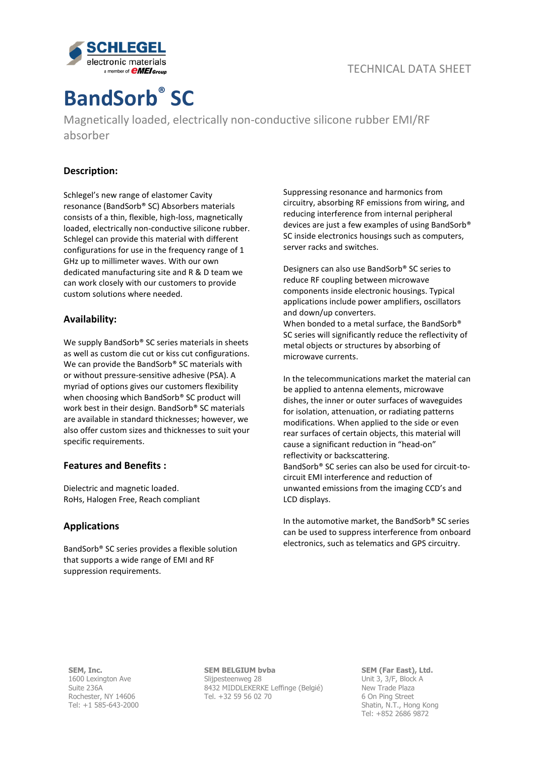

# **BandSorb® SC**

Magnetically loaded, electrically non-conductive silicone rubber EMI/RF absorber

## **Description:**

Schlegel's new range of elastomer Cavity resonance (BandSorb® SC) Absorbers materials consists of a thin, flexible, high-loss, magnetically loaded, electrically non-conductive silicone rubber. Schlegel can provide this material with different configurations for use in the frequency range of 1 GHz up to millimeter waves. With our own dedicated manufacturing site and R & D team we can work closely with our customers to provide custom solutions where needed.

## **Availability:**

We supply BandSorb<sup>®</sup> SC series materials in sheets as well as custom die cut or kiss cut configurations. We can provide the BandSorb® SC materials with or without pressure-sensitive adhesive (PSA). A myriad of options gives our customers flexibility when choosing which BandSorb® SC product will work best in their design. BandSorb® SC materials are available in standard thicknesses; however, we also offer custom sizes and thicknesses to suit your specific requirements.

## **Features and Benefits :**

Dielectric and magnetic loaded. RoHs, Halogen Free, Reach compliant

## **Applications**

BandSorb® SC series provides a flexible solution that supports a wide range of EMI and RF suppression requirements.

Suppressing resonance and harmonics from circuitry, absorbing RF emissions from wiring, and reducing interference from internal peripheral devices are just a few examples of using BandSorb® SC inside electronics housings such as computers, server racks and switches.

Designers can also use BandSorb® SC series to reduce RF coupling between microwave components inside electronic housings. Typical applications include power amplifiers, oscillators and down/up converters.

When bonded to a metal surface, the BandSorb® SC series will significantly reduce the reflectivity of metal objects or structures by absorbing of microwave currents.

In the telecommunications market the material can be applied to antenna elements, microwave dishes, the inner or outer surfaces of waveguides for isolation, attenuation, or radiating patterns modifications. When applied to the side or even rear surfaces of certain objects, this material will cause a significant reduction in "head-on" reflectivity or backscattering. BandSorb® SC series can also be used for circuit-tocircuit EMI interference and reduction of unwanted emissions from the imaging CCD's and LCD displays.

In the automotive market, the BandSorb® SC series can be used to suppress interference from onboard electronics, such as telematics and GPS circuitry.

**SEM, Inc.** 1600 Lexington Ave Suite 236A Rochester, NY 14606 Tel: +1 585-643-2000 **SEM BELGIUM bvba** Slijpesteenweg 28 8432 MIDDLEKERKE Leffinge (Belgié) Tel. +32 59 56 02 70

**SEM (Far East), Ltd.** Unit 3, 3/F, Block A New Trade Plaza 6 On Ping Street Shatin, N.T., Hong Kong Tel: +852 2686 9872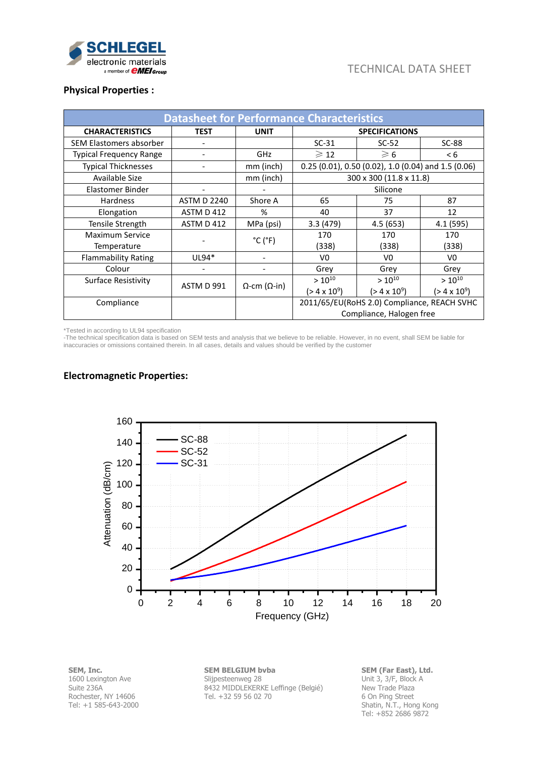

## TECHNICAL DATA SHEET

## **Physical Properties :**

| <b>Datasheet for Performance Characteristics</b> |                              |                              |                                                     |                     |                     |  |  |  |
|--------------------------------------------------|------------------------------|------------------------------|-----------------------------------------------------|---------------------|---------------------|--|--|--|
| <b>CHARACTERISTICS</b>                           | <b>TEST</b>                  | <b>UNIT</b>                  | <b>SPECIFICATIONS</b>                               |                     |                     |  |  |  |
| SEM Elastomers absorber                          |                              |                              | $SC-31$                                             | $SC-52$             | $SC-88$             |  |  |  |
| <b>Typical Frequency Range</b>                   | $\qquad \qquad \blacksquare$ | GHz                          | $\geqslant$ 12                                      | $\geqslant 6$       | < 6                 |  |  |  |
| <b>Typical Thicknesses</b>                       | $\qquad \qquad \blacksquare$ | mm (inch)                    | 0.25 (0.01), 0.50 (0.02), 1.0 (0.04) and 1.5 (0.06) |                     |                     |  |  |  |
| Available Size                                   |                              | mm (inch)                    | 300 x 300 (11.8 x 11.8)                             |                     |                     |  |  |  |
| Elastomer Binder                                 |                              |                              | Silicone                                            |                     |                     |  |  |  |
| <b>Hardness</b>                                  | <b>ASTM D 2240</b>           | Shore A                      | 65                                                  | 75                  | 87                  |  |  |  |
| Elongation                                       | ASTM D 412                   | %                            | 40                                                  | 37                  | 12                  |  |  |  |
| Tensile Strength                                 | ASTM D 412                   | MPa (psi)                    | 3.3(479)                                            | 4.5(653)            | 4.1 (595)           |  |  |  |
| Maximum Service                                  |                              | $^{\circ}$ C ( $^{\circ}$ F) | 170                                                 | 170                 | 170                 |  |  |  |
| Temperature                                      |                              |                              | (338)                                               | (338)               | (338)               |  |  |  |
| <b>Flammability Rating</b>                       | UL94*                        |                              | V0                                                  | V0                  | V <sub>0</sub>      |  |  |  |
| Colour                                           |                              |                              | Grey                                                | Grey                | Grey                |  |  |  |
| Surface Resistivity<br>ASTM D 991                | $\Omega$ -cm ( $\Omega$ -in) | $> 10^{10}$                  | $> 10^{10}$                                         | $> 10^{10}$         |                     |  |  |  |
|                                                  |                              |                              | $(> 4 \times 10^9)$                                 | $(> 4 \times 10^9)$ | $(> 4 \times 10^9)$ |  |  |  |
| Compliance                                       |                              |                              | 2011/65/EU(RoHS 2.0) Compliance, REACH SVHC         |                     |                     |  |  |  |
|                                                  |                              |                              | Compliance, Halogen free                            |                     |                     |  |  |  |

\*Tested in according to UL94 specification

-The technical specification data is based on SEM tests and analysis that we believe to be reliable. However, in no event, shall SEM be liable for inaccuracies or omissions contained therein. In all cases, details and values should be verified by the customer

## **Electromagnetic Properties:**



**SEM, Inc.** 1600 Lexington Ave Suite 236A Rochester, NY 14606 Tel: +1 585-643-2000 **SEM BELGIUM bvba** Slijpesteenweg 28 8432 MIDDLEKERKE Leffinge (Belgié) Tel. +32 59 56 02 70

**SEM (Far East), Ltd.** Unit 3, 3/F, Block A New Trade Plaza 6 On Ping Street Shatin, N.T., Hong Kong Tel: +852 2686 9872